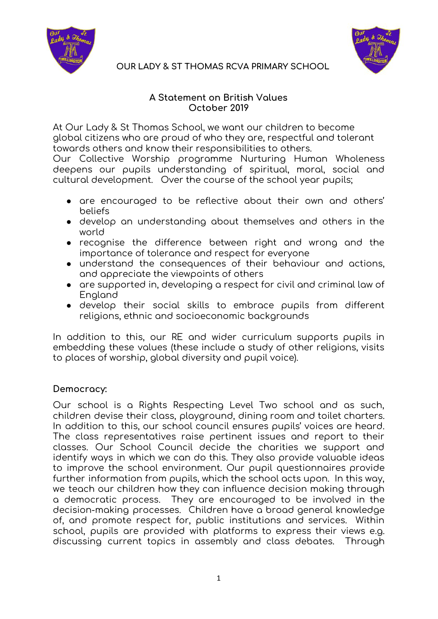



#### **A Statement on British Values October 2019**

At Our Lady & St Thomas School, we want our children to become global citizens who are proud of who they are, respectful and tolerant towards others and know their responsibilities to others.

Our Collective Worship programme Nurturing Human Wholeness deepens our pupils understanding of spiritual, moral, social and cultural development. Over the course of the school year pupils;

- are encouraged to be reflective about their own and others' beliefs
- develop an understanding about themselves and others in the world
- recognise the difference between right and wrong and the importance of tolerance and respect for everyone
- understand the consequences of their behaviour and actions, and appreciate the viewpoints of others
- are supported in, developing a respect for civil and criminal law of England
- develop their social skills to embrace pupils from different religions, ethnic and socioeconomic backgrounds

In addition to this, our RE and wider curriculum supports pupils in embedding these values (these include a study of other religions, visits to places of worship, global diversity and pupil voice).

## **Democracy:**

Our school is a Rights Respecting Level Two school and as such, children devise their class, playground, dining room and toilet charters. In addition to this, our school council ensures pupils' voices are heard. The class representatives raise pertinent issues and report to their classes. Our School Council decide the charities we support and identify ways in which we can do this. They also provide valuable ideas to improve the school environment. Our pupil questionnaires provide further information from pupils, which the school acts upon. In this way, we teach our children how they can influence decision making through a democratic process. They are encouraged to be involved in the decision-making processes. Children have a broad general knowledge of, and promote respect for, public institutions and services. Within school, pupils are provided with platforms to express their views e.g. discussing current topics in assembly and class debates. Through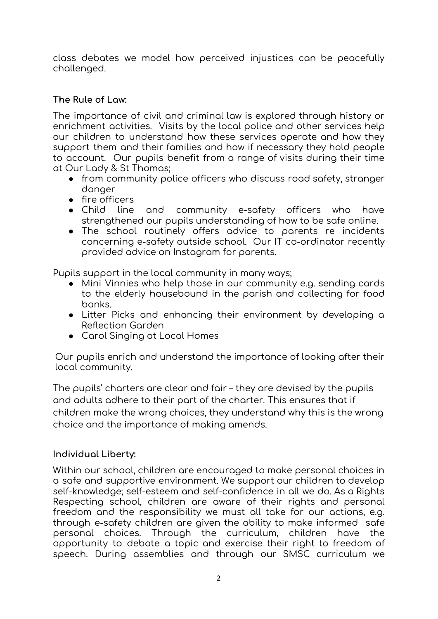class debates we model how perceived injustices can be peacefully challenged.

# **The Rule of Law:**

The importance of civil and criminal law is explored through history or enrichment activities. Visits by the local police and other services help our children to understand how these services operate and how they support them and their families and how if necessary they hold people to account. Our pupils benefit from a range of visits during their time at Our Lady & St Thomas;

- from community police officers who discuss road safety, stranger danger
- 
- fire officers<br>• Child line and community e-safety officers who have strengthened our pupils understanding of how to be safe online.
- The school routinely offers advice to parents re incidents concerning e-safety outside school. Our IT co-ordinator recently provided advice on Instagram for parents.

Pupils support in the local community in many ways;

- Mini Vinnies who help those in our community e.g. sending cards to the elderly housebound in the parish and collecting for food banks.
- Litter Picks and enhancing their environment by developing a Reflection Garden
- Carol Singing at Local Homes

Our pupils enrich and understand the importance of looking after their local community.

The pupils' charters are clear and fair – they are devised by the pupils and adults adhere to their part of the charter. This ensures that if children make the wrong choices, they understand why this is the wrong choice and the importance of making amends.

## **Individual Liberty:**

Within our school, children are encouraged to make personal choices in a safe and supportive environment. We support our children to develop self-knowledge; self-esteem and self-confidence in all we do. As a Rights Respecting school, children are aware of their rights and personal freedom and the responsibility we must all take for our actions, e.g. through e-safety children are given the ability to make informed safe personal choices. Through the curriculum, children have the opportunity to debate a topic and exercise their right to freedom of speech. During assemblies and through our SMSC curriculum we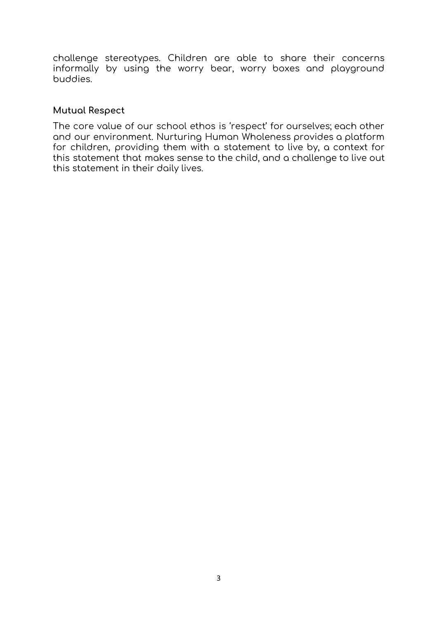challenge stereotypes. Children are able to share their concerns informally by using the worry bear, worry boxes and playground buddies.

#### **Mutual Respect**

The core value of our school ethos is 'respect' for ourselves; each other and our environment. Nurturing Human Wholeness provides a platform for children, providing them with a statement to live by, a context for this statement that makes sense to the child, and a challenge to live out this statement in their daily lives.